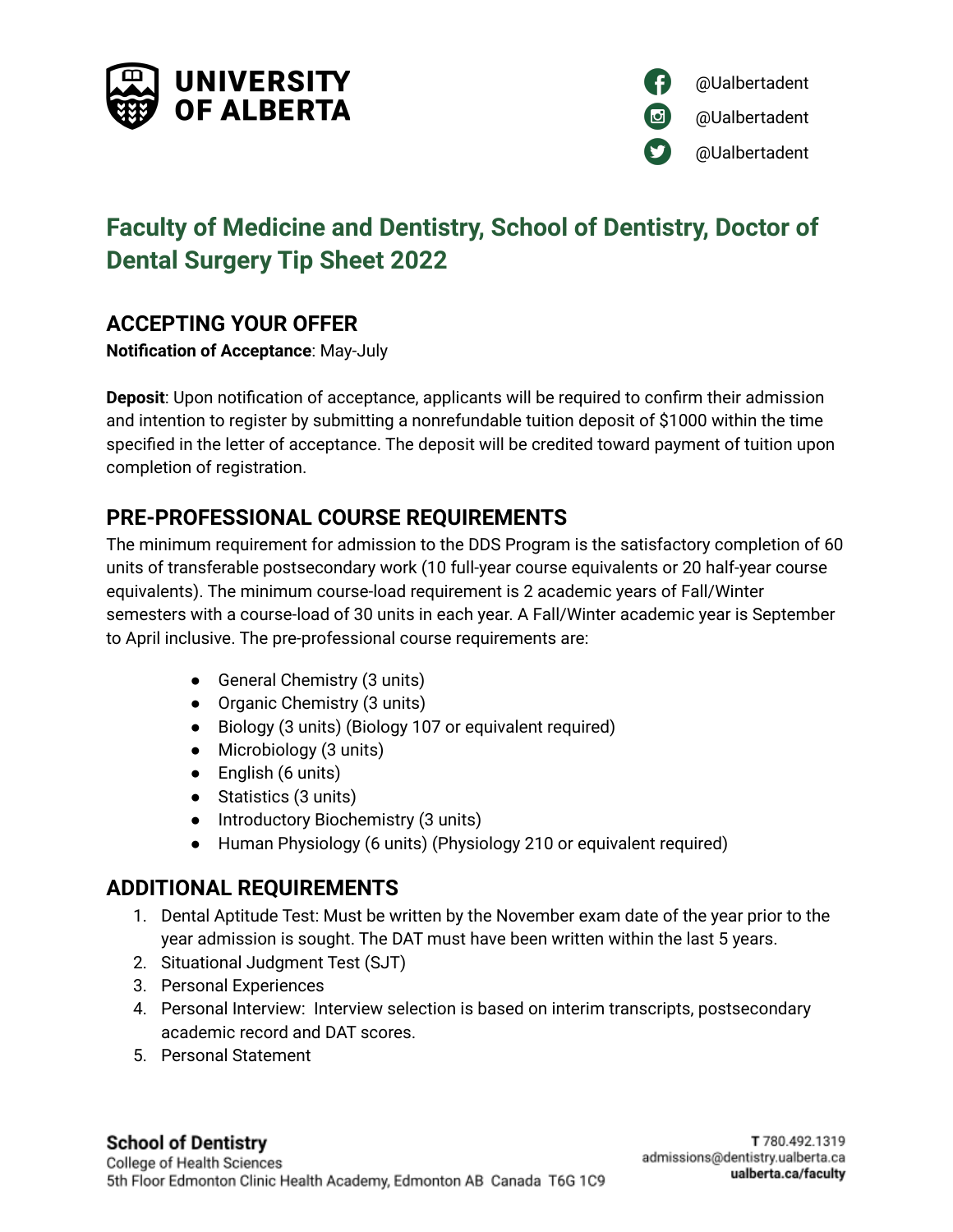



# **Faculty of Medicine and Dentistry, School of Dentistry, Doctor of Dental Surgery Tip Sheet 2022**

### **ACCEPTING YOUR OFFER**

**Notification of Acceptance**: May-July

**Deposit**: Upon notification of acceptance, applicants will be required to confirm their admission and intention to register by submitting a nonrefundable tuition deposit of \$1000 within the time specified in the letter of acceptance. The deposit will be credited toward payment of tuition upon completion of registration.

# **PRE-PROFESSIONAL COURSE REQUIREMENTS**

The minimum requirement for admission to the DDS Program is the satisfactory completion of 60 units of transferable postsecondary work (10 full-year course equivalents or 20 half-year course equivalents). The minimum course-load requirement is 2 academic years of Fall/Winter semesters with a course-load of 30 units in each year. A Fall/Winter academic year is September to April inclusive. The pre-professional course requirements are:

- General Chemistry (3 units)
- Organic Chemistry (3 units)
- Biology (3 units) (Biology 107 or equivalent required)
- Microbiology (3 units)
- English (6 units)
- Statistics (3 units)
- Introductory Biochemistry (3 units)
- Human Physiology (6 units) (Physiology 210 or equivalent required)

### **ADDITIONAL REQUIREMENTS**

- 1. Dental Aptitude Test: Must be written by the November exam date of the year prior to the year admission is sought. The DAT must have been written within the last 5 years.
- 2. Situational Judgment Test (SJT)
- 3. Personal Experiences
- 4. Personal Interview: Interview selection is based on interim transcripts, postsecondary academic record and DAT scores.
- 5. Personal Statement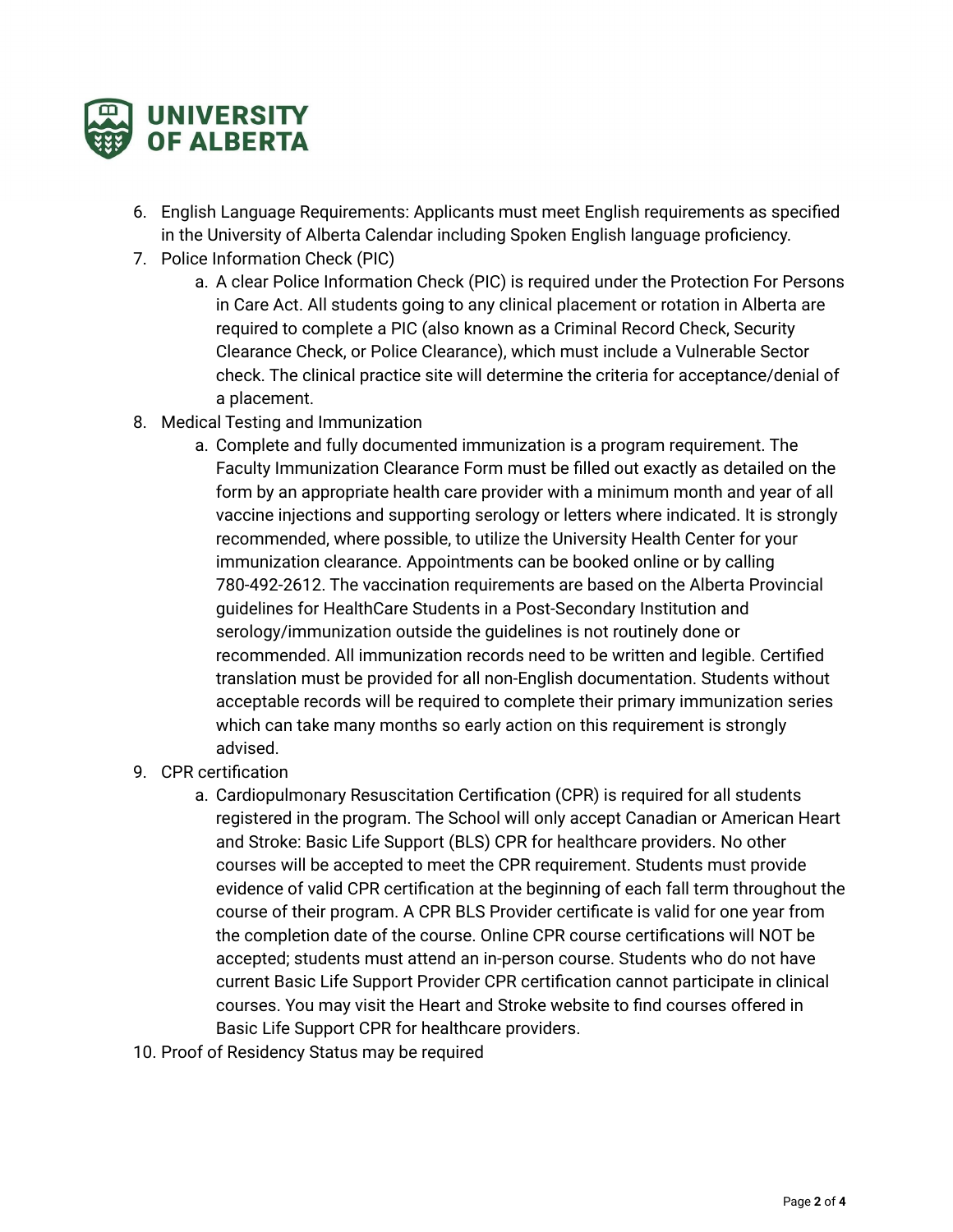

- 6. English Language Requirements: Applicants must meet English requirements as specified in the [University](http://www.registrar.ualberta.ca/calendar) of Alberta Calendar including Spoken English language proficiency.
- 7. Police Information Check (PIC)
	- a. A clear Police Information Check (PIC) is required under the Protection For Persons in Care Act. All students going to any clinical placement or rotation in Alberta are required to complete a PIC (also known as a Criminal Record Check, Security Clearance Check, or Police Clearance), which must include a Vulnerable Sector check. The clinical practice site will determine the criteria for acceptance/denial of a placement.
- 8. Medical Testing and Immunization
	- a. Complete and fully documented immunization is a program requirement. The Faculty Immunization Clearance Form must be filled out exactly as detailed on the form by an appropriate health care provider with a minimum month and year of all vaccine injections and supporting serology or letters where indicated. It is strongly recommended, where possible, to utilize the University Health Center for your immunization clearance. Appointments can be booked online or by calling 780-492-2612. The vaccination requirements are based on the Alberta Provincial guidelines for HealthCare Students in a Post-Secondary Institution and serology/immunization outside the guidelines is not routinely done or recommended. All immunization records need to be written and legible. Certified translation must be provided for all non-English documentation. Students without acceptable records will be required to complete their primary immunization series which can take many months so early action on this requirement is strongly advised.
- 9. CPR certification
	- a. Cardiopulmonary Resuscitation Certification (CPR) is required for all students registered in the program. The School will only accept Canadian or American Heart and Stroke: Basic Life Support (BLS) CPR for healthcare providers. No other courses will be accepted to meet the CPR requirement. Students must provide evidence of valid CPR certification at the beginning of each fall term throughout the course of their program. A CPR BLS Provider certificate is valid for one year from the completion date of the course. Online CPR course certifications will NOT be accepted; students must attend an in-person course. Students who do not have current Basic Life Support Provider CPR certification cannot participate in clinical courses. You may visit the Heart and Stroke website to find courses offered in Basic Life Support CPR for healthcare providers.
- 10. Proof of Residency Status may be required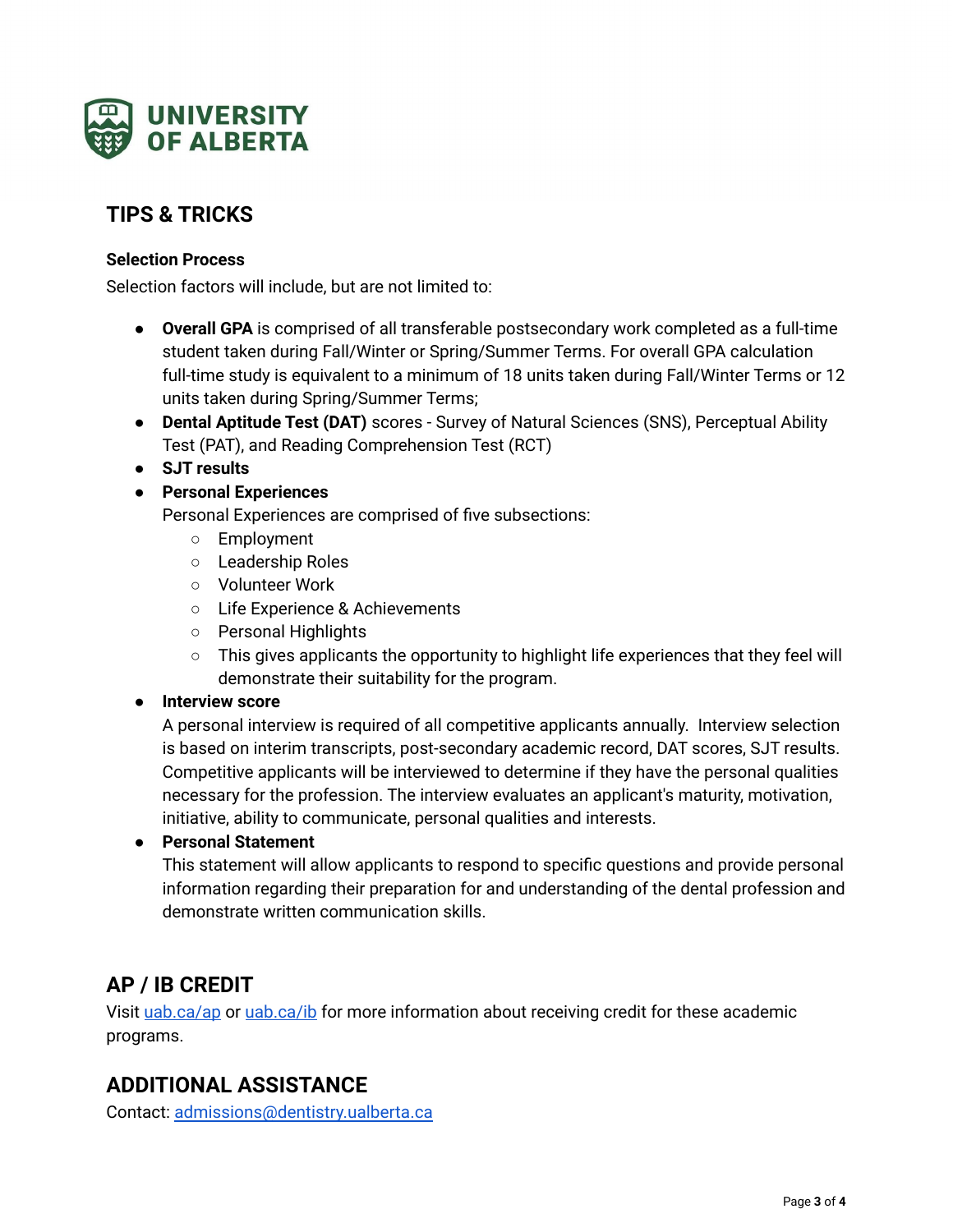

# **TIPS & TRICKS**

#### **Selection Process**

Selection factors will include, but are not limited to:

- **Overall GPA** is comprised of all transferable postsecondary work completed as a full-time student taken during Fall/Winter or Spring/Summer Terms. For overall GPA calculation full-time study is equivalent to a minimum of 18 units taken during Fall/Winter Terms or 12 units taken during Spring/Summer Terms;
- **Dental Aptitude Test (DAT)** scores Survey of Natural Sciences (SNS), Perceptual Ability Test (PAT), and Reading Comprehension Test (RCT)
- **SJT results**
- **Personal Experiences**

Personal Experiences are comprised of five subsections:

- Employment
- Leadership Roles
- Volunteer Work
- Life Experience & Achievements
- Personal Highlights
- $\circ$  This gives applicants the opportunity to highlight life experiences that they feel will demonstrate their suitability for the program.

#### ● **Interview score**

A personal interview is required of all competitive applicants annually. Interview selection is based on interim transcripts, post-secondary academic record, DAT scores, SJT results. Competitive applicants will be interviewed to determine if they have the personal qualities necessary for the profession. The interview evaluates an applicant's maturity, motivation, initiative, ability to communicate, personal qualities and interests.

#### ● **Personal Statement**

This statement will allow applicants to respond to specific questions and provide personal information regarding their preparation for and understanding of the dental profession and demonstrate written communication skills.

### **AP / IB CREDIT**

Visit [uab.ca/ap](http://uab.ca/ap) or [uab.ca/ib](http://uab.ca/ib) for more information about receiving credit for these academic programs.

### **ADDITIONAL ASSISTANCE**

Contact: [admissions@dentistry.ualberta.ca](mailto:admissions@dentistry.ualberta.ca)